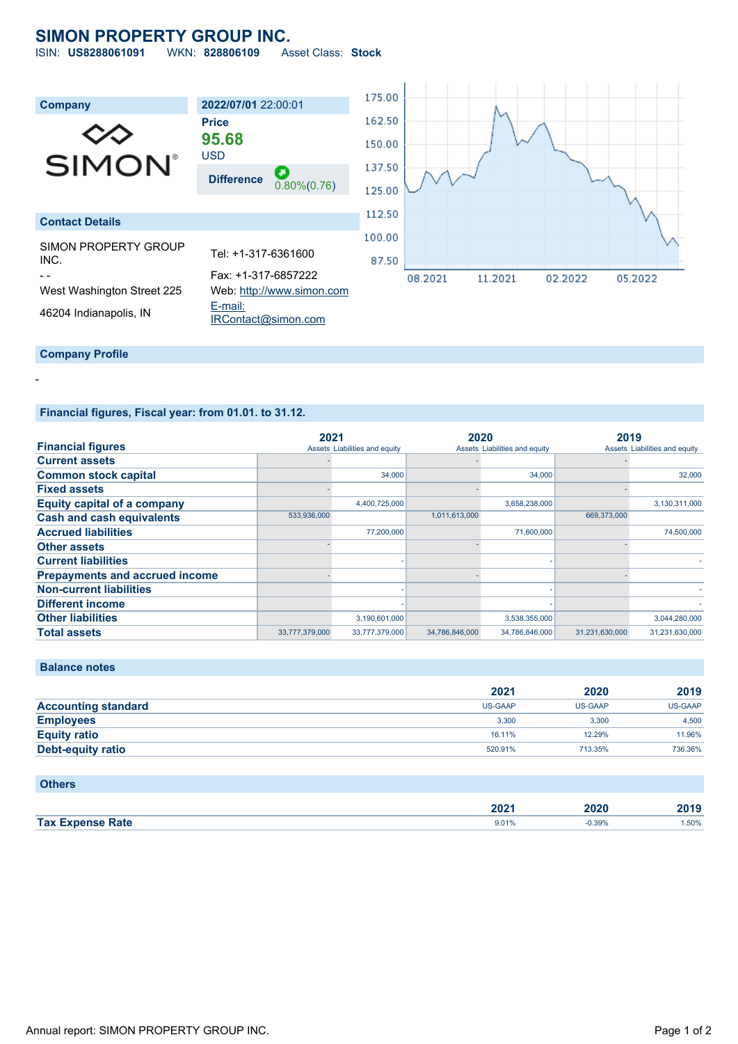# **SIMON PROPERTY GROUP INC.**<br>ISIN: US8288061091 WKN: 828806109 Asset Class: Stock

 $ISIN: **USS288061091**$ 

| <b>Company</b><br><b>SIMON®</b>                                                      | 2022/07/01 22:00:01<br><b>Price</b><br>95.68<br><b>USD</b><br>Θ<br><b>Difference</b><br>$0.80\%(0.76)$    | 175.00<br>162.50<br>150.00<br>137.50<br>125.00 | い                                        |
|--------------------------------------------------------------------------------------|-----------------------------------------------------------------------------------------------------------|------------------------------------------------|------------------------------------------|
| <b>Contact Details</b>                                                               |                                                                                                           | 112.50                                         |                                          |
| SIMON PROPERTY GROUP<br>INC.<br>West Washington Street 225<br>46204 Indianapolis, IN | Tel: +1-317-6361600<br>Fax: +1-317-6857222<br>Web: http://www.simon.com<br>E-mail:<br>IRContact@simon.com | 100.00<br>87.50                                | 11.2021<br>08.2021<br>02.2022<br>05.2022 |
| <b>Company Profile</b>                                                               |                                                                                                           |                                                |                                          |

## **Financial figures, Fiscal year: from 01.01. to 31.12.**

|                                       | 2021           |                               | 2020           |                               | 2019           |                               |
|---------------------------------------|----------------|-------------------------------|----------------|-------------------------------|----------------|-------------------------------|
| <b>Financial figures</b>              |                | Assets Liabilities and equity |                | Assets Liabilities and equity |                | Assets Liabilities and equity |
| <b>Current assets</b>                 |                |                               |                |                               |                |                               |
| <b>Common stock capital</b>           |                | 34,000                        |                | 34,000                        |                | 32,000                        |
| <b>Fixed assets</b>                   |                |                               |                |                               |                |                               |
| <b>Equity capital of a company</b>    |                | 4,400,725,000                 |                | 3,658,238,000                 |                | 3,130,311,000                 |
| <b>Cash and cash equivalents</b>      | 533,936,000    |                               | 1,011,613,000  |                               | 669,373,000    |                               |
| <b>Accrued liabilities</b>            |                | 77,200,000                    |                | 71,600,000                    |                | 74,500,000                    |
| <b>Other assets</b>                   |                |                               |                |                               |                |                               |
| <b>Current liabilities</b>            |                |                               |                |                               |                |                               |
| <b>Prepayments and accrued income</b> |                |                               |                |                               |                |                               |
| <b>Non-current liabilities</b>        |                |                               |                |                               |                |                               |
| <b>Different income</b>               |                |                               |                |                               |                |                               |
| <b>Other liabilities</b>              |                | 3,190,601,000                 |                | 3,538,355,000                 |                | 3,044,280,000                 |
| <b>Total assets</b>                   | 33,777,379,000 | 33,777,379,000                | 34,786,846,000 | 34,786,846,000                | 31,231,630,000 | 31,231,630,000                |

### **Balance notes**

-

|                            | 2021           | 2020    | 2019           |
|----------------------------|----------------|---------|----------------|
| <b>Accounting standard</b> | <b>US-GAAP</b> | US-GAAP | <b>US-GAAP</b> |
| <b>Employees</b>           | 3.300          | 3.300   | 4.500          |
| <b>Equity ratio</b>        | 16.11%         | 12.29%  | 11.96%         |
| Debt-equity ratio          | 520.91%        | 713.35% | 736.36%        |

# **Others**

|       | ה הה<br>40Z    |       |      |
|-------|----------------|-------|------|
| Tax E | $9.01^{\circ}$ | 0.39% | .50% |